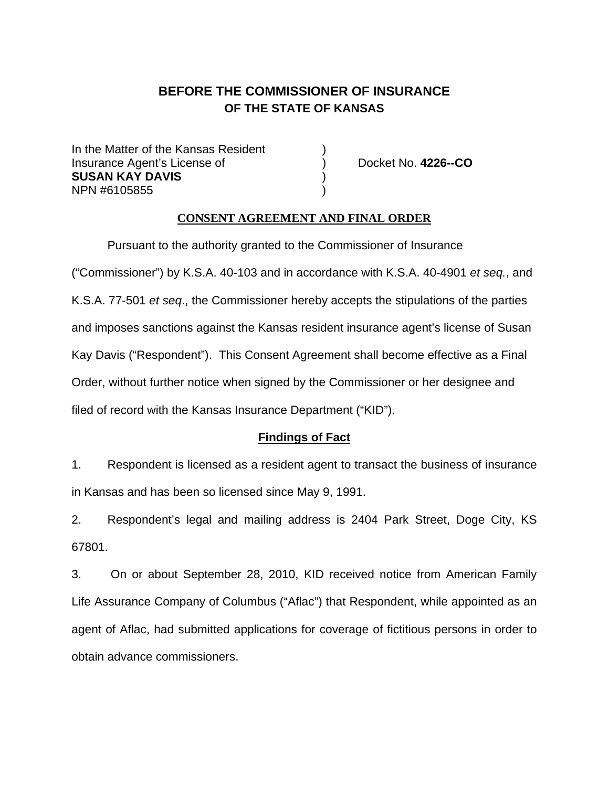# **BEFORE THE COMMISSIONER OF INSURANCE OF THE STATE OF KANSAS**

In the Matter of the Kansas Resident Insurance Agent's License of ) Docket No. **4226--CO SUSAN KAY DAVIS** ) NPN #6105855

## **CONSENT AGREEMENT AND FINAL ORDER**

Pursuant to the authority granted to the Commissioner of Insurance ("Commissioner") by K.S.A. 40-103 and in accordance with K.S.A. 40-4901 *et seq.*, and K.S.A. 77-501 *et seq*., the Commissioner hereby accepts the stipulations of the parties and imposes sanctions against the Kansas resident insurance agent's license of Susan Kay Davis ("Respondent"). This Consent Agreement shall become effective as a Final Order, without further notice when signed by the Commissioner or her designee and filed of record with the Kansas Insurance Department ("KID").

## **Findings of Fact**

1. Respondent is licensed as a resident agent to transact the business of insurance in Kansas and has been so licensed since May 9, 1991.

2. Respondent's legal and mailing address is 2404 Park Street, Doge City, KS 67801.

3. On or about September 28, 2010, KID received notice from American Family Life Assurance Company of Columbus ("Aflac") that Respondent, while appointed as an agent of Aflac, had submitted applications for coverage of fictitious persons in order to obtain advance commissioners.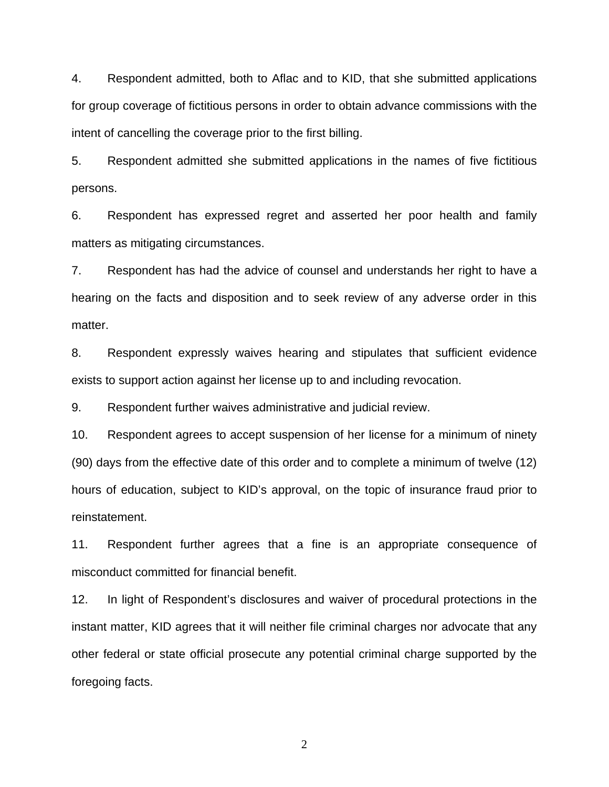4. Respondent admitted, both to Aflac and to KID, that she submitted applications for group coverage of fictitious persons in order to obtain advance commissions with the intent of cancelling the coverage prior to the first billing.

5. Respondent admitted she submitted applications in the names of five fictitious persons.

6. Respondent has expressed regret and asserted her poor health and family matters as mitigating circumstances.

7. Respondent has had the advice of counsel and understands her right to have a hearing on the facts and disposition and to seek review of any adverse order in this matter.

8. Respondent expressly waives hearing and stipulates that sufficient evidence exists to support action against her license up to and including revocation.

9. Respondent further waives administrative and judicial review.

10. Respondent agrees to accept suspension of her license for a minimum of ninety (90) days from the effective date of this order and to complete a minimum of twelve (12) hours of education, subject to KID's approval, on the topic of insurance fraud prior to reinstatement.

11. Respondent further agrees that a fine is an appropriate consequence of misconduct committed for financial benefit.

12. In light of Respondent's disclosures and waiver of procedural protections in the instant matter, KID agrees that it will neither file criminal charges nor advocate that any other federal or state official prosecute any potential criminal charge supported by the foregoing facts.

2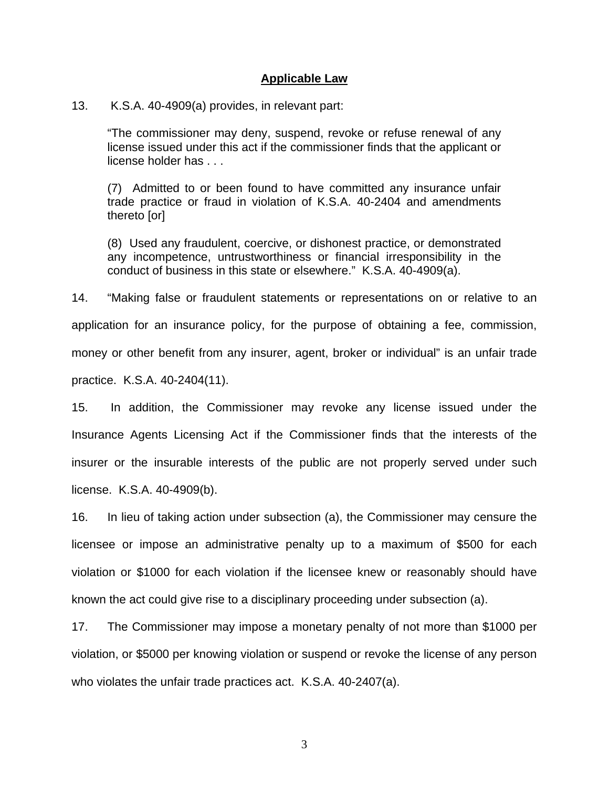#### **Applicable Law**

#### 13. K.S.A. 40-4909(a) provides, in relevant part:

"The commissioner may deny, suspend, revoke or refuse renewal of any license issued under this act if the commissioner finds that the applicant or license holder has . . .

(7) Admitted to or been found to have committed any insurance unfair trade practice or fraud in violation of K.S.A. 40-2404 and amendments thereto [or]

(8) Used any fraudulent, coercive, or dishonest practice, or demonstrated any incompetence, untrustworthiness or financial irresponsibility in the conduct of business in this state or elsewhere." K.S.A. 40-4909(a).

14. "Making false or fraudulent statements or representations on or relative to an application for an insurance policy, for the purpose of obtaining a fee, commission, money or other benefit from any insurer, agent, broker or individual" is an unfair trade practice. K.S.A. 40-2404(11).

15. In addition, the Commissioner may revoke any license issued under the Insurance Agents Licensing Act if the Commissioner finds that the interests of the insurer or the insurable interests of the public are not properly served under such license. K.S.A. 40-4909(b).

16. In lieu of taking action under subsection (a), the Commissioner may censure the licensee or impose an administrative penalty up to a maximum of \$500 for each violation or \$1000 for each violation if the licensee knew or reasonably should have known the act could give rise to a disciplinary proceeding under subsection (a).

17. The Commissioner may impose a monetary penalty of not more than \$1000 per violation, or \$5000 per knowing violation or suspend or revoke the license of any person who violates the unfair trade practices act. K.S.A. 40-2407(a).

3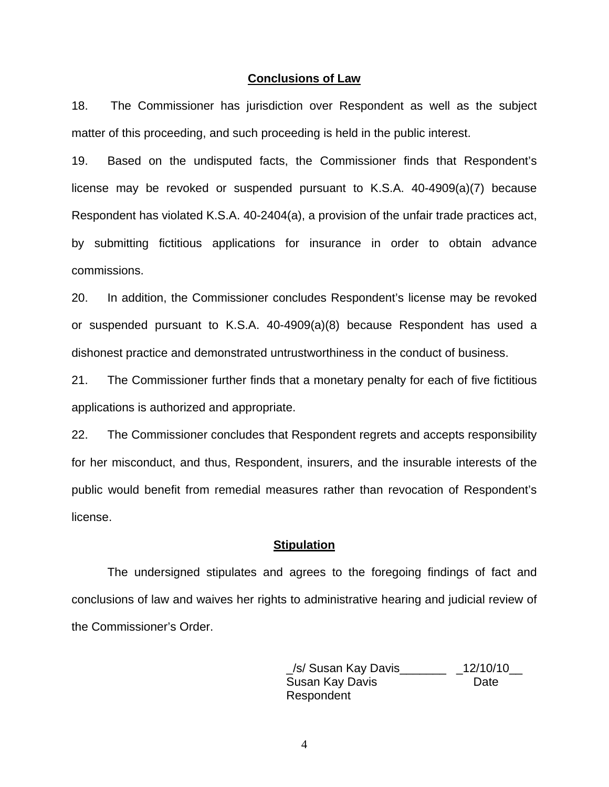#### **Conclusions of Law**

18. The Commissioner has jurisdiction over Respondent as well as the subject matter of this proceeding, and such proceeding is held in the public interest.

19. Based on the undisputed facts, the Commissioner finds that Respondent's license may be revoked or suspended pursuant to K.S.A. 40-4909(a)(7) because Respondent has violated K.S.A. 40-2404(a), a provision of the unfair trade practices act, by submitting fictitious applications for insurance in order to obtain advance commissions.

20. In addition, the Commissioner concludes Respondent's license may be revoked or suspended pursuant to K.S.A. 40-4909(a)(8) because Respondent has used a dishonest practice and demonstrated untrustworthiness in the conduct of business.

21. The Commissioner further finds that a monetary penalty for each of five fictitious applications is authorized and appropriate.

22. The Commissioner concludes that Respondent regrets and accepts responsibility for her misconduct, and thus, Respondent, insurers, and the insurable interests of the public would benefit from remedial measures rather than revocation of Respondent's license.

#### **Stipulation**

The undersigned stipulates and agrees to the foregoing findings of fact and conclusions of law and waives her rights to administrative hearing and judicial review of the Commissioner's Order.

> \_/s/ Susan Kay Davis\_\_\_\_\_\_\_ \_12/10/10\_\_ Susan Kay Davis **Date** Respondent

4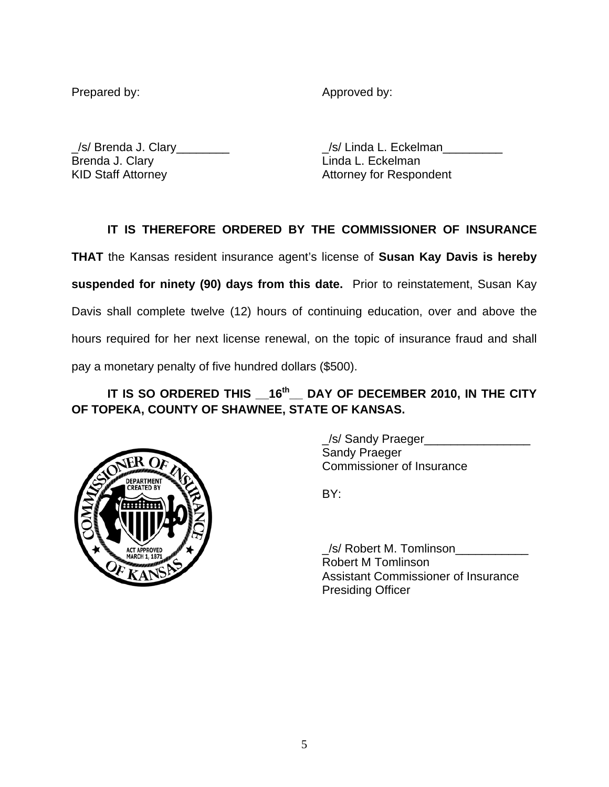Prepared by: Approved by: Approved by:

Brenda J. Clary **Linda L. Eckelman** KID Staff Attorney **Attorney Attorney for Respondent** 

\_/s/ Brenda J. Clary\_\_\_\_\_\_\_\_ \_/s/ Linda L. Eckelman\_\_\_\_\_\_\_\_\_

## **IT IS THEREFORE ORDERED BY THE COMMISSIONER OF INSURANCE**

**THAT** the Kansas resident insurance agent's license of **Susan Kay Davis is hereby suspended for ninety (90) days from this date.** Prior to reinstatement, Susan Kay Davis shall complete twelve (12) hours of continuing education, over and above the hours required for her next license renewal, on the topic of insurance fraud and shall pay a monetary penalty of five hundred dollars (\$500).

## IT IS SO ORDERED THIS 16<sup>th</sup> DAY OF DECEMBER 2010, IN THE CITY **OF TOPEKA, COUNTY OF SHAWNEE, STATE OF KANSAS.**



 \_/s/ Sandy Praeger\_\_\_\_\_\_\_\_\_\_\_\_\_\_\_\_ Sandy Praeger Commissioner of Insurance

 $\angle$ s/ Robert M. Tomlinson $\Box$  Robert M Tomlinson Assistant Commissioner of Insurance Presiding Officer